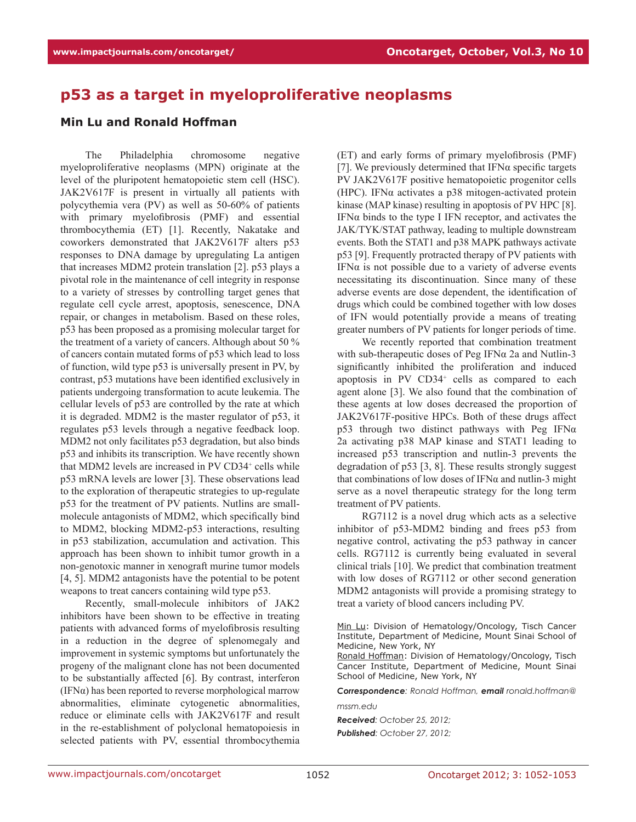## **p53 as a target in myeloproliferative neoplasms**

## **Min Lu and Ronald Hoffman**

The Philadelphia chromosome negative myeloproliferative neoplasms (MPN) originate at the level of the pluripotent hematopoietic stem cell (HSC). JAK2V617F is present in virtually all patients with polycythemia vera (PV) as well as 50-60% of patients with primary myelofibrosis (PMF) and essential thrombocythemia (ET) [1]. Recently, Nakatake and coworkers demonstrated that JAK2V617F alters p53 responses to DNA damage by upregulating La antigen that increases MDM2 protein translation [2]. p53 plays a pivotal role in the maintenance of cell integrity in response to a variety of stresses by controlling target genes that regulate cell cycle arrest, apoptosis, senescence, DNA repair, or changes in metabolism. Based on these roles, p53 has been proposed as a promising molecular target for the treatment of a variety of cancers. Although about 50 % of cancers contain mutated forms of p53 which lead to loss of function, wild type p53 is universally present in PV, by contrast, p53 mutations have been identified exclusively in patients undergoing transformation to acute leukemia. The cellular levels of p53 are controlled by the rate at which it is degraded. MDM2 is the master regulator of p53, it regulates p53 levels through a negative feedback loop. MDM2 not only facilitates p53 degradation, but also binds p53 and inhibits its transcription. We have recently shown that MDM2 levels are increased in PV CD34<sup>+</sup> cells while p53 mRNA levels are lower [3]. These observations lead to the exploration of therapeutic strategies to up-regulate p53 for the treatment of PV patients. Nutlins are smallmolecule antagonists of MDM2, which specifically bind to MDM2, blocking MDM2-p53 interactions, resulting in p53 stabilization, accumulation and activation. This approach has been shown to inhibit tumor growth in a non-genotoxic manner in xenograft murine tumor models [4, 5]. MDM2 antagonists have the potential to be potent weapons to treat cancers containing wild type p53.

Recently, small-molecule inhibitors of JAK2 inhibitors have been shown to be effective in treating patients with advanced forms of myelofibrosis resulting in a reduction in the degree of splenomegaly and improvement in systemic symptoms but unfortunately the progeny of the malignant clone has not been documented to be substantially affected [6]. By contrast, interferon (IFN $\alpha$ ) has been reported to reverse morphological marrow abnormalities, eliminate cytogenetic abnormalities, reduce or eliminate cells with JAK2V617F and result in the re-establishment of polyclonal hematopoiesis in selected patients with PV, essential thrombocythemia (ET) and early forms of primary myelofibrosis (PMF) [7]. We previously determined that  $IFN\alpha$  specific targets PV JAK2V617F positive hematopoietic progenitor cells (HPC). IFN $\alpha$  activates a p38 mitogen-activated protein kinase (MAP kinase) resulting in apoptosis of PV HPC [8]. IFN $\alpha$  binds to the type I IFN receptor, and activates the JAK/TYK/STAT pathway, leading to multiple downstream events. Both the STAT1 and p38 MAPK pathways activate p53 [9]. Frequently protracted therapy of PV patients with IFN $\alpha$  is not possible due to a variety of adverse events necessitating its discontinuation. Since many of these adverse events are dose dependent, the identification of drugs which could be combined together with low doses of IFN would potentially provide a means of treating greater numbers of PV patients for longer periods of time.

We recently reported that combination treatment with sub-therapeutic doses of Peg IFN $\alpha$  2a and Nutlin-3 significantly inhibited the proliferation and induced apoptosis in PV CD34<sup>+</sup> cells as compared to each agent alone [3]. We also found that the combination of these agents at low doses decreased the proportion of JAK2V617F-positive HPCs. Both of these drugs affect p53 through two distinct pathways with Peg IFNα 2a activating p38 MAP kinase and STAT1 leading to increased p53 transcription and nutlin-3 prevents the degradation of p53 [3, 8]. These results strongly suggest that combinations of low doses of IFNα and nutlin-3 might serve as a novel therapeutic strategy for the long term treatment of PV patients.

RG7112 is a novel drug which acts as a selective inhibitor of p53-MDM2 binding and frees p53 from negative control, activating the p53 pathway in cancer cells. RG7112 is currently being evaluated in several clinical trials [10]. We predict that combination treatment with low doses of RG7112 or other second generation MDM2 antagonists will provide a promising strategy to treat a variety of blood cancers including PV.

*Correspondence: Ronald Hoffman, email ronald.hoffman@ mssm.edu*

*Received: October 25, 2012; Published: October 27, 2012;*

Min Lu: Division of Hematology/Oncology, Tisch Cancer Institute, Department of Medicine, Mount Sinai School of Medicine, New York, NY

Ronald Hoffman: Division of Hematology/Oncology, Tisch Cancer Institute, Department of Medicine, Mount Sinai School of Medicine, New York, NY